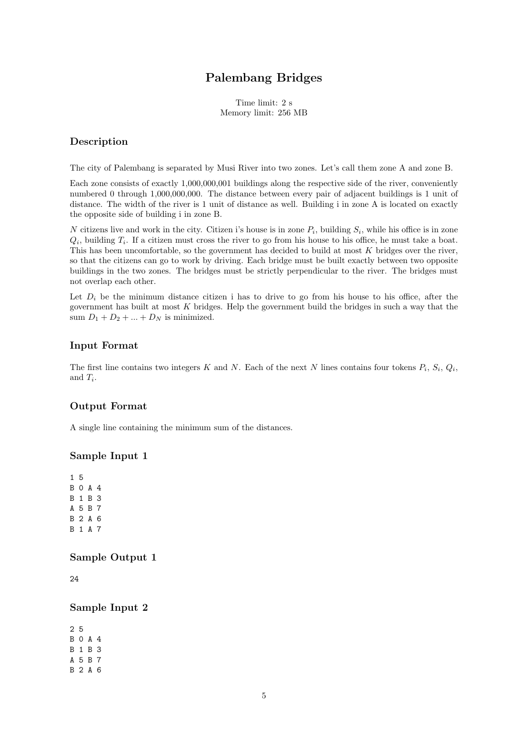# Palembang Bridges

Time limit: 2 s Memory limit: 256 MB

### Description

The city of Palembang is separated by Musi River into two zones. Let's call them zone A and zone B.

Each zone consists of exactly 1,000,000,001 buildings along the respective side of the river, conveniently numbered 0 through 1,000,000,000. The distance between every pair of adjacent buildings is 1 unit of distance. The width of the river is 1 unit of distance as well. Building i in zone A is located on exactly the opposite side of building i in zone B.

*N* citizens live and work in the city. Citizen i's house is in zone  $P_i$ , building  $S_i$ , while his office is in zone  $Q_i$ , building  $T_i$ . If a citizen must cross the river to go from his house to his office, he must take a boat. This has been uncomfortable, so the government has decided to build at most *K* bridges over the river, so that the citizens can go to work by driving. Each bridge must be built exactly between two opposite buildings in the two zones. The bridges must be strictly perpendicular to the river. The bridges must not overlap each other.

Let  $D_i$  be the minimum distance citizen i has to drive to go from his house to his office, after the government has built at most *K* bridges. Help the government build the bridges in such a way that the sum  $D_1 + D_2 + \ldots + D_N$  is minimized.

#### Input Format

The first line contains two integers  $K$  and  $N$ . Each of the next  $N$  lines contains four tokens  $P_i$ ,  $S_i$ ,  $Q_i$ , and  $T_i$ .

#### Output Format

A single line containing the minimum sum of the distances.

#### Sample Input 1

1 5 B0A4 B1B3 A5B7 B2A6 B1A7

#### Sample Output 1

24

### Sample Input 2

2 5 B0A4 B1B3 A5B7 B2A6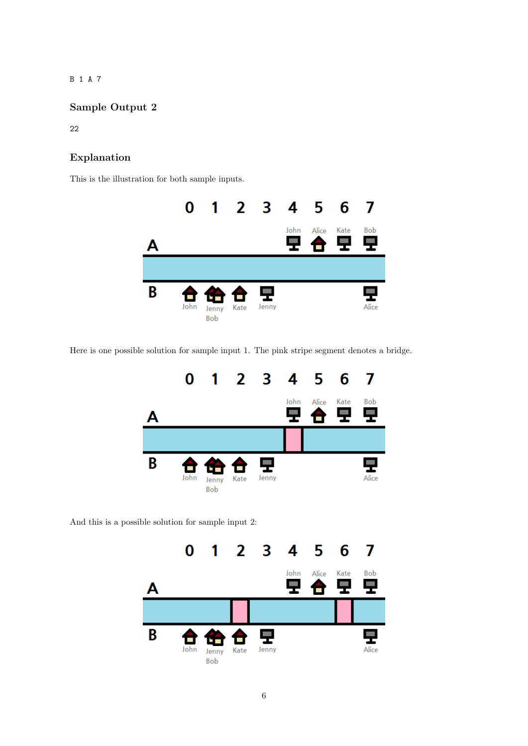B1A7

## Sample Output 2

22

### Explanation

This is the illustration for both sample inputs.



Here is one possible solution for sample input 1. The pink stripe segment denotes a bridge.



And this is a possible solution for sample input 2: